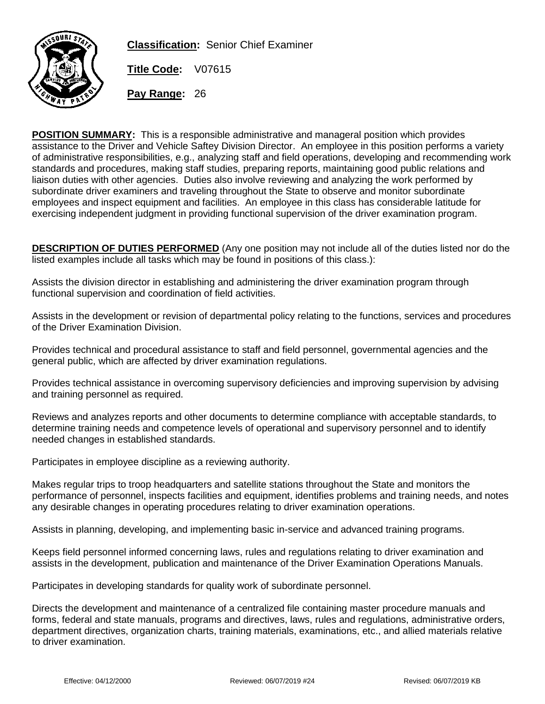

**Classification:** Senior Chief Examiner

**Title Code:** V07615

**Pay Range:** 26

**POSITION SUMMARY:** This is a responsible administrative and manageral position which provides assistance to the Driver and Vehicle Saftey Division Director. An employee in this position performs a variety of administrative responsibilities, e.g., analyzing staff and field operations, developing and recommending work standards and procedures, making staff studies, preparing reports, maintaining good public relations and liaison duties with other agencies. Duties also involve reviewing and analyzing the work performed by subordinate driver examiners and traveling throughout the State to observe and monitor subordinate employees and inspect equipment and facilities. An employee in this class has considerable latitude for exercising independent judgment in providing functional supervision of the driver examination program.

**DESCRIPTION OF DUTIES PERFORMED** (Any one position may not include all of the duties listed nor do the listed examples include all tasks which may be found in positions of this class.):

Assists the division director in establishing and administering the driver examination program through functional supervision and coordination of field activities.

Assists in the development or revision of departmental policy relating to the functions, services and procedures of the Driver Examination Division.

Provides technical and procedural assistance to staff and field personnel, governmental agencies and the general public, which are affected by driver examination regulations.

Provides technical assistance in overcoming supervisory deficiencies and improving supervision by advising and training personnel as required.

Reviews and analyzes reports and other documents to determine compliance with acceptable standards, to determine training needs and competence levels of operational and supervisory personnel and to identify needed changes in established standards.

Participates in employee discipline as a reviewing authority.

Makes regular trips to troop headquarters and satellite stations throughout the State and monitors the performance of personnel, inspects facilities and equipment, identifies problems and training needs, and notes any desirable changes in operating procedures relating to driver examination operations.

Assists in planning, developing, and implementing basic in-service and advanced training programs.

Keeps field personnel informed concerning laws, rules and regulations relating to driver examination and assists in the development, publication and maintenance of the Driver Examination Operations Manuals.

Participates in developing standards for quality work of subordinate personnel.

Directs the development and maintenance of a centralized file containing master procedure manuals and forms, federal and state manuals, programs and directives, laws, rules and regulations, administrative orders, department directives, organization charts, training materials, examinations, etc., and allied materials relative to driver examination.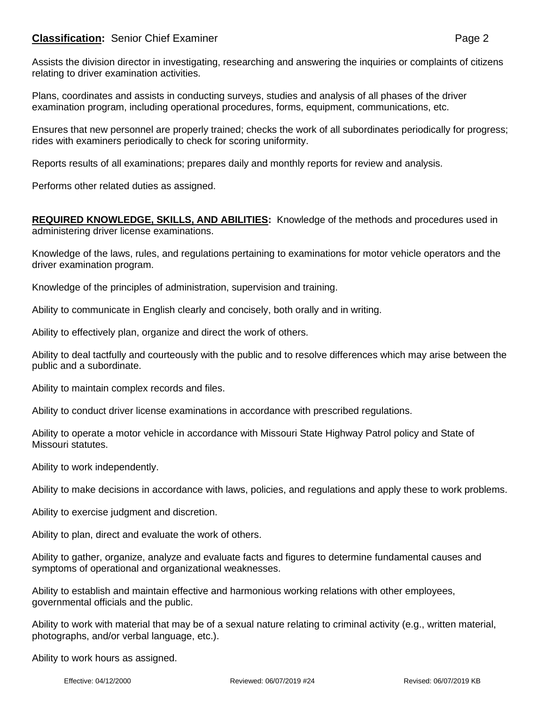## **Classification:** Senior Chief Examiner **Page 2** Page 2

Assists the division director in investigating, researching and answering the inquiries or complaints of citizens relating to driver examination activities.

Plans, coordinates and assists in conducting surveys, studies and analysis of all phases of the driver examination program, including operational procedures, forms, equipment, communications, etc.

Ensures that new personnel are properly trained; checks the work of all subordinates periodically for progress; rides with examiners periodically to check for scoring uniformity.

Reports results of all examinations; prepares daily and monthly reports for review and analysis.

Performs other related duties as assigned.

## **REQUIRED KNOWLEDGE, SKILLS, AND ABILITIES:** Knowledge of the methods and procedures used in administering driver license examinations.

Knowledge of the laws, rules, and regulations pertaining to examinations for motor vehicle operators and the driver examination program.

Knowledge of the principles of administration, supervision and training.

Ability to communicate in English clearly and concisely, both orally and in writing.

Ability to effectively plan, organize and direct the work of others.

Ability to deal tactfully and courteously with the public and to resolve differences which may arise between the public and a subordinate.

Ability to maintain complex records and files.

Ability to conduct driver license examinations in accordance with prescribed regulations.

Ability to operate a motor vehicle in accordance with Missouri State Highway Patrol policy and State of Missouri statutes.

Ability to work independently.

Ability to make decisions in accordance with laws, policies, and regulations and apply these to work problems.

Ability to exercise judgment and discretion.

Ability to plan, direct and evaluate the work of others.

Ability to gather, organize, analyze and evaluate facts and figures to determine fundamental causes and symptoms of operational and organizational weaknesses.

Ability to establish and maintain effective and harmonious working relations with other employees, governmental officials and the public.

Ability to work with material that may be of a sexual nature relating to criminal activity (e.g., written material, photographs, and/or verbal language, etc.).

Ability to work hours as assigned.